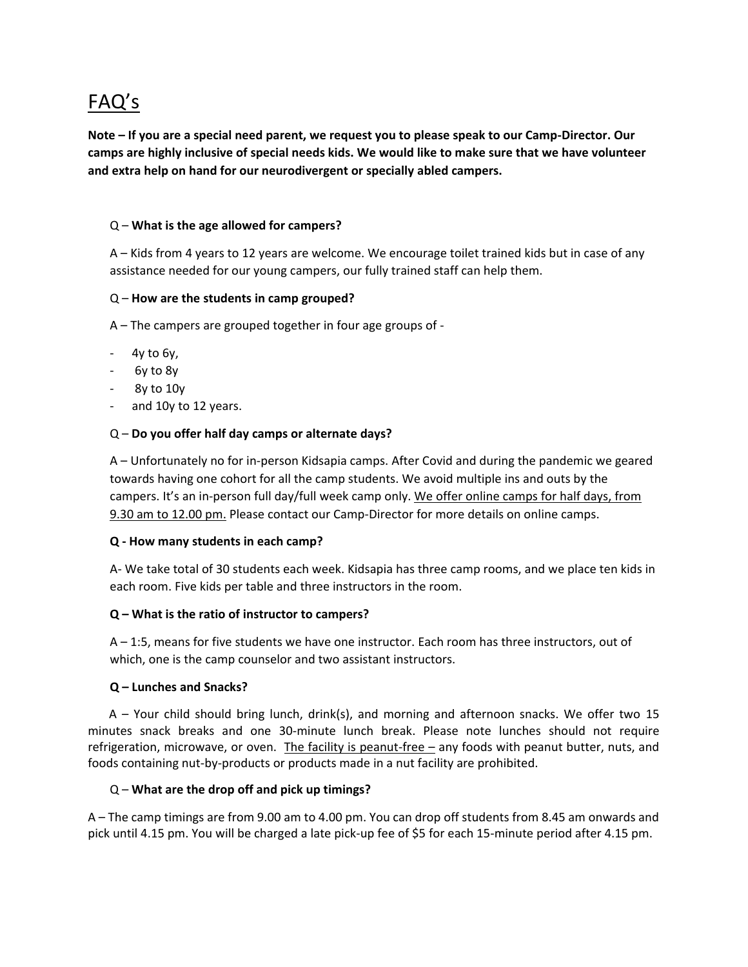# FAQ's

**Note – If you are a special need parent, we request you to please speak to our Camp-Director. Our camps are highly inclusive of special needs kids. We would like to make sure that we have volunteer and extra help on hand for our neurodivergent or specially abled campers.** 

## Q – **What is the age allowed for campers?**

A – Kids from 4 years to 12 years are welcome. We encourage toilet trained kids but in case of any assistance needed for our young campers, our fully trained staff can help them.

## Q – **How are the students in camp grouped?**

A – The campers are grouped together in four age groups of -

- 4y to 6y*,*
- 6y to 8y
- 8y to 10y
- and 10y to 12 years.

## Q – **Do you offer half day camps or alternate days?**

A – Unfortunately no for in-person Kidsapia camps. After Covid and during the pandemic we geared towards having one cohort for all the camp students. We avoid multiple ins and outs by the campers. It's an in-person full day/full week camp only. We offer online camps for half days, from 9.30 am to 12.00 pm. Please contact our Camp-Director for more details on online camps.

#### **Q - How many students in each camp?**

A- We take total of 30 students each week. Kidsapia has three camp rooms, and we place ten kids in each room. Five kids per table and three instructors in the room.

#### **Q – What is the ratio of instructor to campers?**

A – 1:5, means for five students we have one instructor. Each room has three instructors, out of which, one is the camp counselor and two assistant instructors.

#### **Q – Lunches and Snacks?**

 A – Your child should bring lunch, drink(s), and morning and afternoon snacks. We offer two 15 minutes snack breaks and one 30-minute lunch break. Please note lunches should not require refrigeration, microwave, or oven. The facility is peanut-free – any foods with peanut butter, nuts, and foods containing nut-by-products or products made in a nut facility are prohibited.

#### Q – **What are the drop off and pick up timings?**

A – The camp timings are from 9.00 am to 4.00 pm. You can drop off students from 8.45 am onwards and pick until 4.15 pm. You will be charged a late pick-up fee of \$5 for each 15-minute period after 4.15 pm.